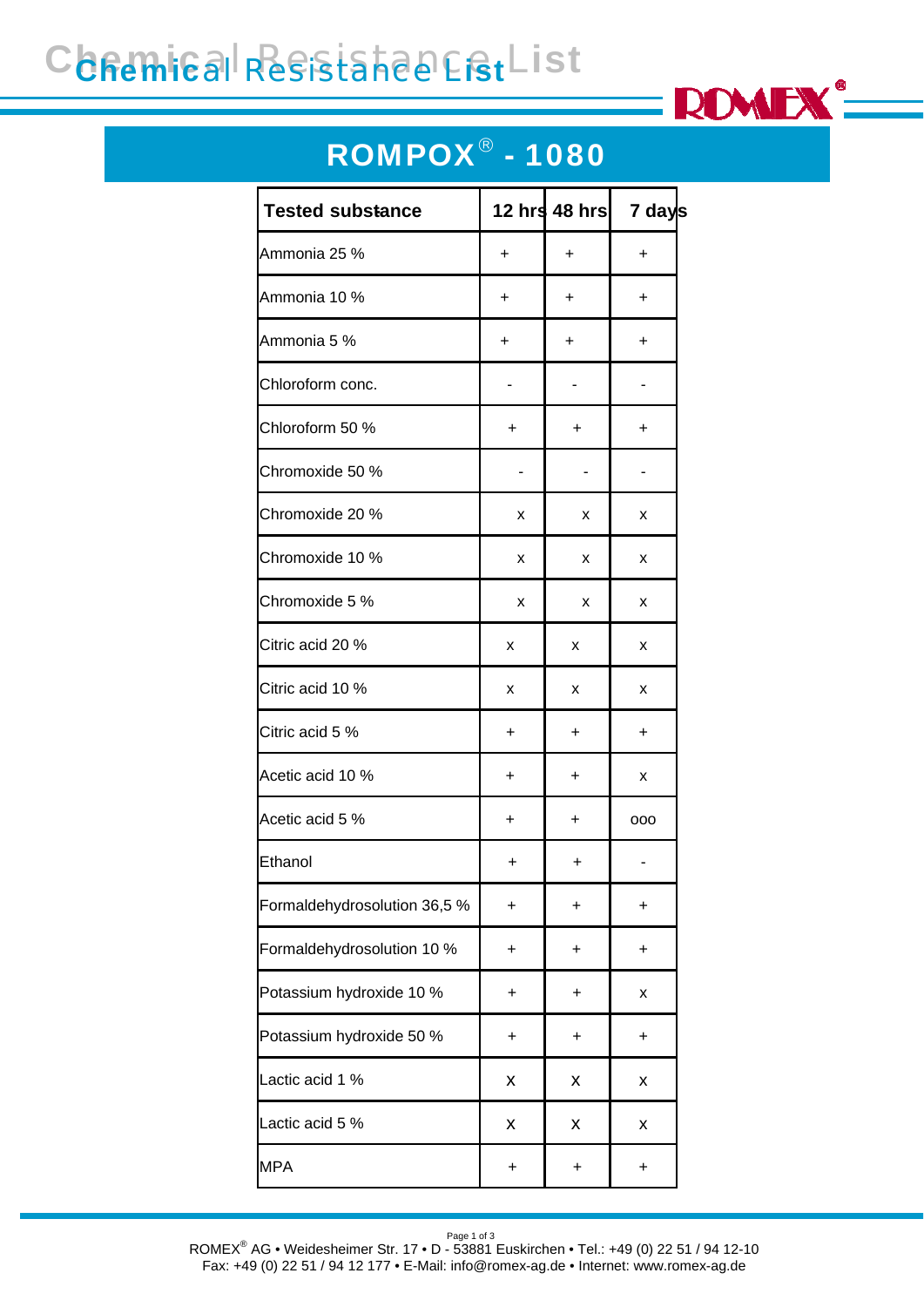# Chemical Resistance List



#### ROMPOX® - 1080

| <b>Tested substance</b>      |           | 12 hrs 48 hrs | 7 days    |
|------------------------------|-----------|---------------|-----------|
| Ammonia 25 %                 | +         | +             | $\ddot{}$ |
| Ammonia 10 %                 | +         | $\ddot{}$     | $\ddot{}$ |
| Ammonia 5 %                  | +         | $\ddot{}$     | +         |
| Chloroform conc.             |           |               |           |
| Chloroform 50 %              | +         | +             | +         |
| Chromoxide 50 %              |           |               |           |
| Chromoxide 20 %              | х         | x             | x         |
| Chromoxide 10 %              | x         | x             | x         |
| Chromoxide 5 %               | x         | x             | x         |
| Citric acid 20 %             | x         | x             | x         |
| Citric acid 10 %             | х         | x             | x         |
| Citric acid 5 %              | +         | $\ddot{}$     | $\ddot{}$ |
| Acetic acid 10 %             | $\ddot{}$ | $\ddot{}$     | x         |
| Acetic acid 5 %              | +         | +             | 000       |
| Ethanol                      | +         | +             |           |
| Formaldehydrosolution 36,5 % | $\ddot{}$ | +             | $\ddot{}$ |
| Formaldehydrosolution 10 %   | +         | +             | +         |
| Potassium hydroxide 10 %     | +         | +             | Χ         |
| Potassium hydroxide 50 %     | +         | +             | +         |
| Lactic acid 1 %              | Χ         | Χ             | Χ         |
| Lactic acid 5 %              | Χ         | Χ             | Χ         |
| <b>MPA</b>                   | +         | +             | $\ddot{}$ |

Page 1 of 3<br>ROMEX® AG • Weidesheimer Str. 17 • D - 53881 Euskirchen • Tel.: +49 (0) 22 51 / 94 12-10 Fax: +49 (0) 22 51 / 94 12 177 • E-Mail: info@romex-ag.de • Internet: www.romex-ag.de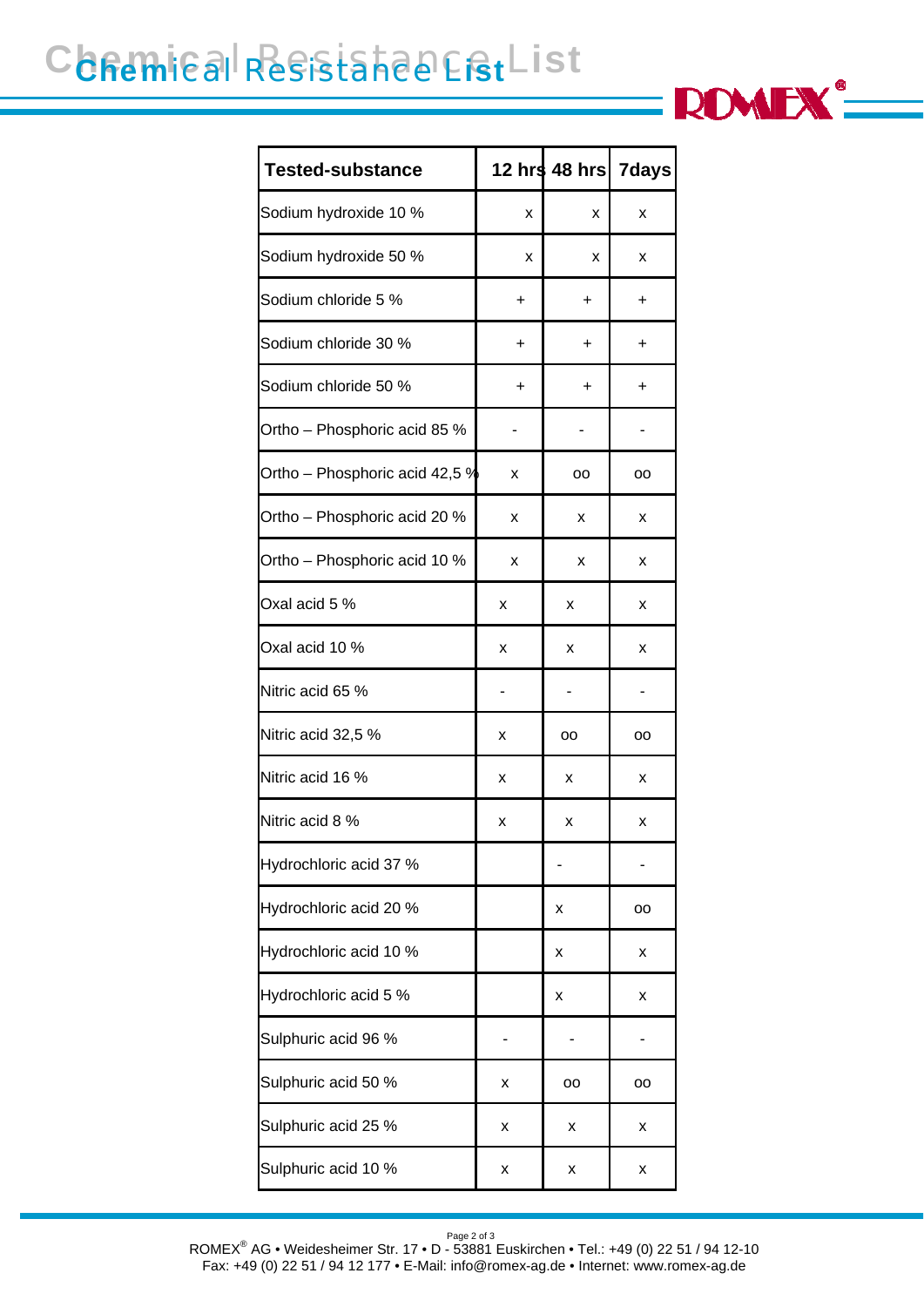# Chemical Resistance List



#### Page 2 of 3 ROMEX® AG • Weidesheimer Str. 17 • D - 53881 Euskirchen • Tel.: +49 (0) 22 51 / 94 12-10 Fax: +49 (0) 22 51 / 94 12 177 • E-Mail: info@romex-ag.de • Internet: www.romex-ag.de